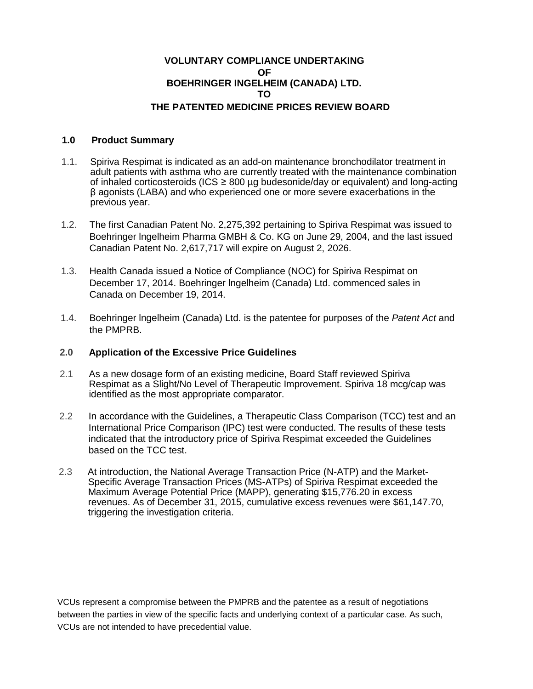# **VOLUNTARY COMPLIANCE UNDERTAKING OF BOEHRINGER INGELHEIM (CANADA) LTD. TO THE PATENTED MEDICINE PRICES REVIEW BOARD**

### **1.0 Product Summary**

- 1.1. Spiriva Respimat is indicated as an add-on maintenance bronchodilator treatment in adult patients with asthma who are currently treated with the maintenance combination of inhaled corticosteroids (ICS  $\geq$  800 µg budesonide/day or equivalent) and long-acting β agonists (LABA) and who experienced one or more severe exacerbations in the previous year.
- 1.2. The first Canadian Patent No. 2,275,392 pertaining to Spiriva Respimat was issued to Boehringer lngelheim Pharma GMBH & Co. KG on June 29, 2004, and the last issued Canadian Patent No. 2,617,717 will expire on August 2, 2026.
- 1.3. Health Canada issued a Notice of Compliance (NOC) for Spiriva Respimat on December 17, 2014. Boehringer lngelheim (Canada) Ltd. commenced sales in Canada on December 19, 2014.
- 1.4. Boehringer lngelheim (Canada) Ltd. is the patentee for purposes of the *Patent Act* and the PMPRB.

#### **2.0 Application of the Excessive Price Guidelines**

- 2.1 As a new dosage form of an existing medicine, Board Staff reviewed Spiriva Respimat as a Slight/No Level of Therapeutic Improvement. Spiriva 18 mcg/cap was identified as the most appropriate comparator.
- 2.2 In accordance with the Guidelines, a Therapeutic Class Comparison (TCC) test and an International Price Comparison (IPC) test were conducted. The results of these tests indicated that the introductory price of Spiriva Respimat exceeded the Guidelines based on the TCC test.
- 2.3 At introduction, the National Average Transaction Price (N-ATP) and the Market-Specific Average Transaction Prices (MS-ATPs) of Spiriva Respimat exceeded the Maximum Average Potential Price (MAPP), generating \$15,776.20 in excess revenues. As of December 31, 2015, cumulative excess revenues were \$61,147.70, triggering the investigation criteria.

VCUs represent a compromise between the PMPRB and the patentee as a result of negotiations between the parties in view of the specific facts and underlying context of a particular case. As such, VCUs are not intended to have precedential value.